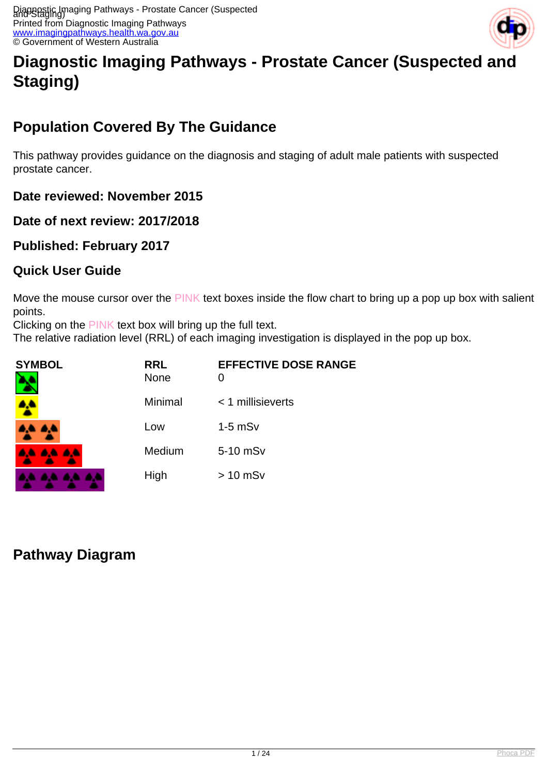

# **Diagnostic Imaging Pathways - Prostate Cancer (Suspected and Staging)**

## **Population Covered By The Guidance**

This pathway provides guidance on the diagnosis and staging of adult male patients with suspected prostate cancer.

**Date reviewed: November 2015**

**Date of next review: 2017/2018**

**Published: February 2017**

#### **Quick User Guide**

Move the mouse cursor over the PINK text boxes inside the flow chart to bring up a pop up box with salient points.

Clicking on the PINK text box will bring up the full text.

The relative radiation level (RRL) of each imaging investigation is displayed in the pop up box.

| <b>SYMBOL</b> | <b>RRL</b><br><b>None</b> | <b>EFFECTIVE DOSE RANGE</b><br>O |
|---------------|---------------------------|----------------------------------|
|               | Minimal                   | $<$ 1 millisieverts              |
| 8,5 B,5       | Low                       | $1-5$ mS $v$                     |
| 4A 4A 4A      | Medium                    | 5-10 mSv                         |
|               | High                      | $> 10$ mSv                       |

#### **Pathway Diagram**

. . . .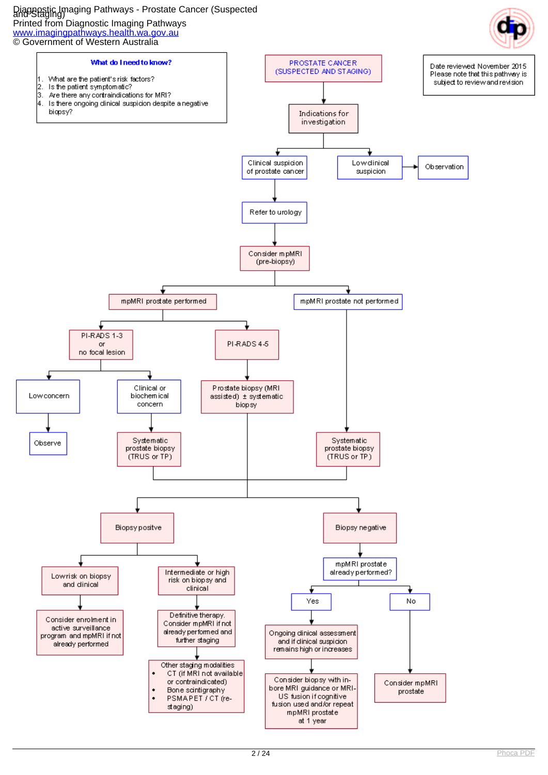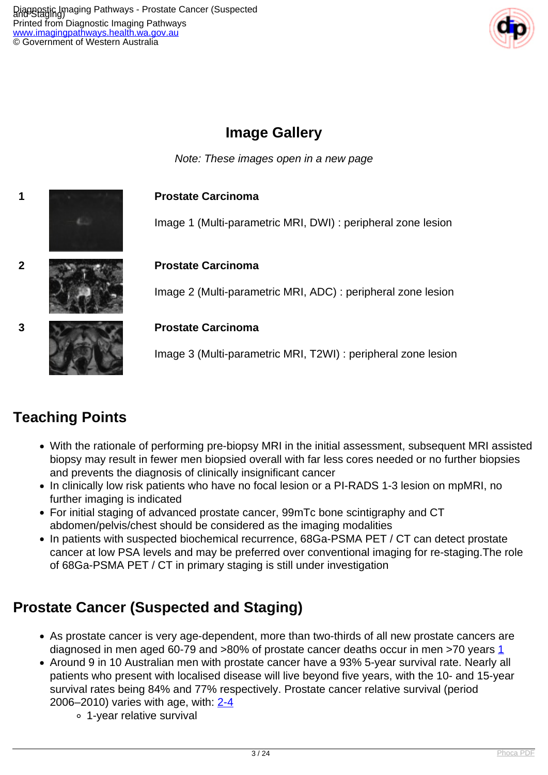

## **Image Gallery**

Note: These images open in a new page



## **Teaching Points**

- With the rationale of performing pre-biopsy MRI in the initial assessment, subsequent MRI assisted biopsy may result in fewer men biopsied overall with far less cores needed or no further biopsies and prevents the diagnosis of clinically insignificant cancer
- In clinically low risk patients who have no focal lesion or a PI-RADS 1-3 lesion on mpMRI, no further imaging is indicated
- For initial staging of advanced prostate cancer, 99mTc bone scintigraphy and CT abdomen/pelvis/chest should be considered as the imaging modalities
- In patients with suspected biochemical recurrence, 68Ga-PSMA PET / CT can detect prostate cancer at low PSA levels and may be preferred over conventional imaging for re-staging.The role of 68Ga-PSMA PET / CT in primary staging is still under investigation

## **Prostate Cancer (Suspected and Staging)**

- As prostate cancer is very age-dependent, more than two-thirds of all new prostate cancers are diagnosed in men aged 60-79 and >80% of prostate cancer deaths occur in men >70 years [1](index.php/imaging-pathways/urological/staging-of-prostate-cancer?tab=References#1)
- Around 9 in 10 Australian men with prostate cancer have a 93% 5-year survival rate. Nearly all patients who present with localised disease will live beyond five years, with the 10- and 15-year survival rates being 84% and 77% respectively. Prostate cancer relative survival (period 2006–2010) varies with age, with: [2-4](index.php/imaging-pathways/urological/staging-of-prostate-cancer?tab=References#2)
	- 1-year relative survival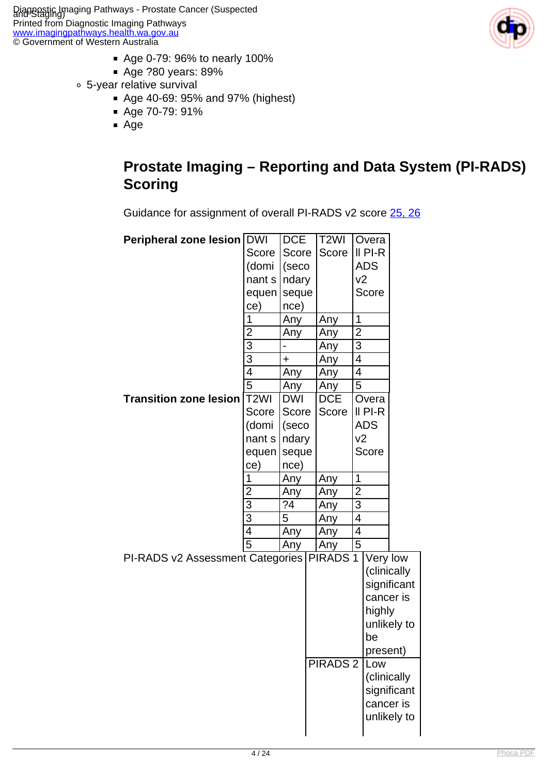- Age 0-79: 96% to nearly 100%
- Age ?80 years: 89%
- 5-year relative survival
	- Age 40-69: 95% and 97% (highest)
	- Age 70-79: 91%
	- Age



#### **Prostate Imaging – Reporting and Data System (PI-RADS) Scoring**

Guidance for assignment of overall PI-RADS v2 score [25, 26](index.php/imaging-pathways/urological/staging-of-prostate-cancer?tab=References#25)

| Peripheral zone lesion DWI       |                         | <b>DCE</b> | T <sub>2</sub> WI |                           | Overa       |             |
|----------------------------------|-------------------------|------------|-------------------|---------------------------|-------------|-------------|
|                                  | Score                   | Score      | Score             |                           | $II$ PI-R   |             |
|                                  | (domi                   | (seco      |                   |                           | <b>ADS</b>  |             |
|                                  | nant s                  | ndary      |                   | v <sub>2</sub>            |             |             |
|                                  | equen                   | seque      |                   |                           | Score       |             |
|                                  | ce)                     | nce)       |                   |                           |             |             |
|                                  | 1                       | Any        | Any               | 1                         |             |             |
|                                  | $\overline{\mathbf{c}}$ | Any        | Any               | $\overline{2}$            |             |             |
|                                  | $\overline{3}$          |            | Any               | $\ensuremath{\mathsf{3}}$ |             |             |
|                                  | $\overline{3}$          | +          | Any               | 4                         |             |             |
|                                  | $\overline{4}$          | Any        | Any               | $\overline{4}$            |             |             |
|                                  | $\overline{5}$          | Any        | Any               | $\overline{5}$            |             |             |
| <b>Transition zone lesion</b>    | T <sub>2</sub> WI       | <b>DWI</b> | <b>DCE</b>        |                           | Overa       |             |
|                                  | Score                   | Score      | Score             |                           | $II$ PI-R   |             |
|                                  | (domi                   | (seco      |                   |                           | <b>ADS</b>  |             |
|                                  | nant s                  | ndary      |                   | v2                        |             |             |
|                                  | equen                   | seque      |                   |                           | Score       |             |
|                                  | ce)                     | nce)       |                   |                           |             |             |
|                                  | 1                       | Any        | Any               | 1                         |             |             |
|                                  | $\overline{2}$          | Any        | Any               | $\overline{2}$            |             |             |
|                                  | $\overline{3}$          | ?4         | Any               | $\overline{3}$            |             |             |
|                                  | $\overline{3}$          | 5          | Any               | $\overline{4}$            |             |             |
|                                  | 4                       | Any        | Any               | 4                         |             |             |
|                                  | $\overline{5}$          | Any        | Any               | 5                         |             |             |
| PI-RADS v2 Assessment Categories |                         |            | <b>PIRADS1</b>    |                           | Very low    |             |
|                                  |                         |            |                   |                           |             | (clinically |
|                                  |                         |            |                   |                           |             | significant |
|                                  |                         |            |                   |                           | cancer is   |             |
|                                  |                         |            |                   |                           | highly      |             |
|                                  |                         |            |                   |                           |             | unlikely to |
|                                  |                         |            |                   |                           | be          |             |
|                                  |                         |            |                   |                           | present)    |             |
|                                  |                         |            | <b>PIRADS 2</b>   |                           | Low         |             |
|                                  |                         |            |                   |                           | (clinically |             |
|                                  |                         |            |                   |                           |             | significant |
|                                  |                         |            |                   |                           | cancer is   |             |
|                                  |                         |            |                   |                           |             | unlikely to |
|                                  |                         |            |                   |                           |             |             |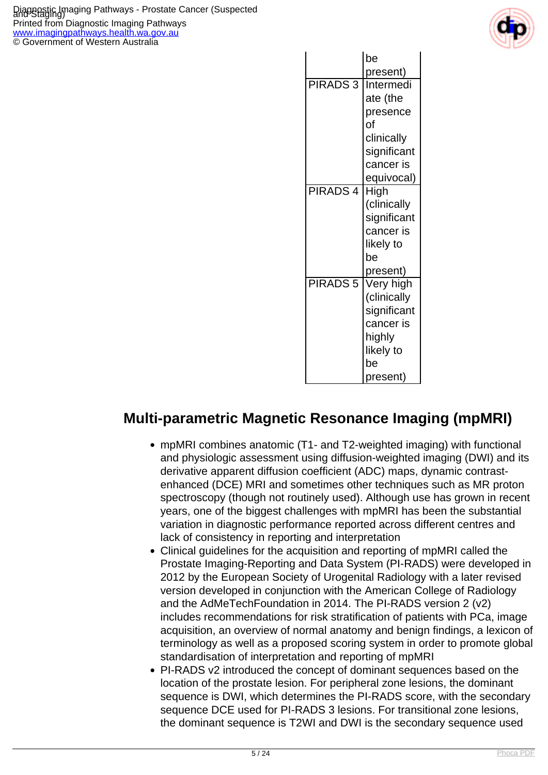

|                     | be<br>present)                                                                                  |
|---------------------|-------------------------------------------------------------------------------------------------|
| <b>PIRADS3</b>      | Intermedi<br>ate (the<br>presence<br>of<br>clinically<br>significant<br>cancer is<br>equivocal) |
| PIRADS <sub>4</sub> | High<br>(clinically<br>significant<br>cancer is<br>likely to<br>be<br>present)                  |
| <b>PIRADS 5</b>     | Very high<br>(clinically<br>significant<br>cancer is<br>highly<br>likely to<br>be<br>present)   |

#### **Multi-parametric Magnetic Resonance Imaging (mpMRI)**

- mpMRI combines anatomic (T1- and T2-weighted imaging) with functional and physiologic assessment using diffusion-weighted imaging (DWI) and its derivative apparent diffusion coefficient (ADC) maps, dynamic contrastenhanced (DCE) MRI and sometimes other techniques such as MR proton spectroscopy (though not routinely used). Although use has grown in recent years, one of the biggest challenges with mpMRI has been the substantial variation in diagnostic performance reported across different centres and lack of consistency in reporting and interpretation
- Clinical guidelines for the acquisition and reporting of mpMRI called the Prostate Imaging-Reporting and Data System (PI-RADS) were developed in 2012 by the European Society of Urogenital Radiology with a later revised version developed in conjunction with the American College of Radiology and the AdMeTechFoundation in 2014. The PI-RADS version 2 (v2) includes recommendations for risk stratification of patients with PCa, image acquisition, an overview of normal anatomy and benign findings, a lexicon of terminology as well as a proposed scoring system in order to promote global standardisation of interpretation and reporting of mpMRI
- PI-RADS v2 introduced the concept of dominant sequences based on the location of the prostate lesion. For peripheral zone lesions, the dominant sequence is DWI, which determines the PI-RADS score, with the secondary sequence DCE used for PI-RADS 3 lesions. For transitional zone lesions, the dominant sequence is T2WI and DWI is the secondary sequence used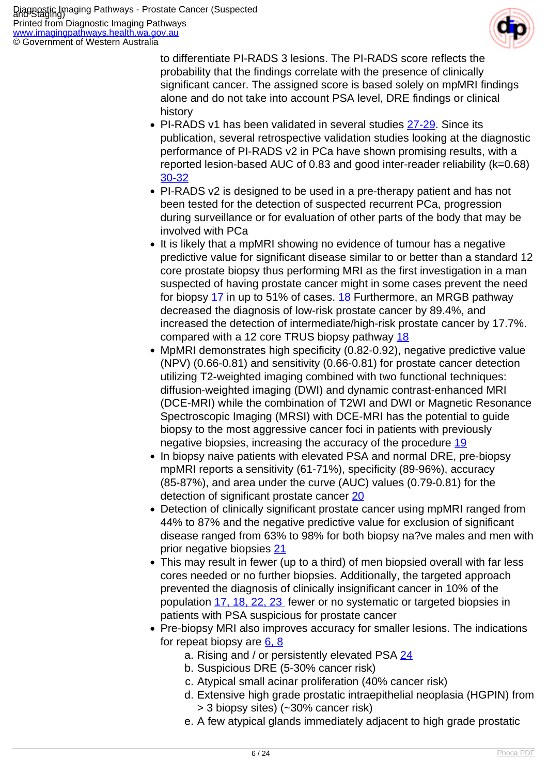

to differentiate PI-RADS 3 lesions. The PI-RADS score reflects the probability that the findings correlate with the presence of clinically significant cancer. The assigned score is based solely on mpMRI findings alone and do not take into account PSA level, DRE findings or clinical history

- PI-RADS v1 has been validated in several studies [27-29](index.php/imaging-pathways/urological/staging-of-prostate-cancer?tab=References#27). Since its publication, several retrospective validation studies looking at the diagnostic performance of PI-RADS v2 in PCa have shown promising results, with a reported lesion-based AUC of 0.83 and good inter-reader reliability (k=0.68) [30-32](index.php/imaging-pathways/urological/staging-of-prostate-cancer?tab=References#30)
- PI-RADS v2 is designed to be used in a pre-therapy patient and has not been tested for the detection of suspected recurrent PCa, progression during surveillance or for evaluation of other parts of the body that may be involved with PCa
- It is likely that a mpMRI showing no evidence of tumour has a negative predictive value for significant disease similar to or better than a standard 12 core prostate biopsy thus performing MRI as the first investigation in a man suspected of having prostate cancer might in some cases prevent the need for biopsy [17](index.php/imaging-pathways/urological/staging-of-prostate-cancer?tab=References#17) in up to 51% of cases. [18](index.php/imaging-pathways/urological/staging-of-prostate-cancer?tab=References#18) Furthermore, an MRGB pathway decreased the diagnosis of low-risk prostate cancer by 89.4%, and increased the detection of intermediate/high-risk prostate cancer by 17.7%. compared with a 12 core TRUS biopsy pathway [18](index.php/imaging-pathways/urological/staging-of-prostate-cancer?tab=References#18)
- MpMRI demonstrates high specificity (0.82-0.92), negative predictive value (NPV) (0.66-0.81) and sensitivity (0.66-0.81) for prostate cancer detection utilizing T2-weighted imaging combined with two functional techniques: diffusion-weighted imaging (DWI) and dynamic contrast-enhanced MRI (DCE-MRI) while the combination of T2WI and DWI or Magnetic Resonance Spectroscopic Imaging (MRSI) with DCE-MRI has the potential to guide biopsy to the most aggressive cancer foci in patients with previously negative biopsies, increasing the accuracy of the procedure [19](index.php/imaging-pathways/urological/staging-of-prostate-cancer?tab=References#19)
- In biopsy naive patients with elevated PSA and normal DRE, pre-biopsy mpMRI reports a sensitivity (61-71%), specificity (89-96%), accuracy (85-87%), and area under the curve (AUC) values (0.79-0.81) for the detection of significant prostate cancer [20](index.php/imaging-pathways/urological/staging-of-prostate-cancer?tab=References#20)
- Detection of clinically significant prostate cancer using mpMRI ranged from 44% to 87% and the negative predictive value for exclusion of significant disease ranged from 63% to 98% for both biopsy na?ve males and men with prior negative biopsies [21](index.php/imaging-pathways/urological/staging-of-prostate-cancer?tab=References#21)
- This may result in fewer (up to a third) of men biopsied overall with far less cores needed or no further biopsies. Additionally, the targeted approach prevented the diagnosis of clinically insignificant cancer in 10% of the population [17, 18, 22, 23](index.php/imaging-pathways/urological/staging-of-prostate-cancer?tab=References#17) fewer or no systematic or targeted biopsies in patients with PSA suspicious for prostate cancer
- Pre-biopsy MRI also improves accuracy for smaller lesions. The indications for repeat biopsy are [6, 8](index.php/imaging-pathways/urological/staging-of-prostate-cancer?tab=References#6)
	- a. Rising and / or persistently elevated PSA [24](index.php/imaging-pathways/urological/staging-of-prostate-cancer?tab=References#24)
	- b. Suspicious DRE (5-30% cancer risk)
	- c. Atypical small acinar proliferation (40% cancer risk)
	- d. Extensive high grade prostatic intraepithelial neoplasia (HGPIN) from > 3 biopsy sites) (~30% cancer risk)
	- e. A few atypical glands immediately adjacent to high grade prostatic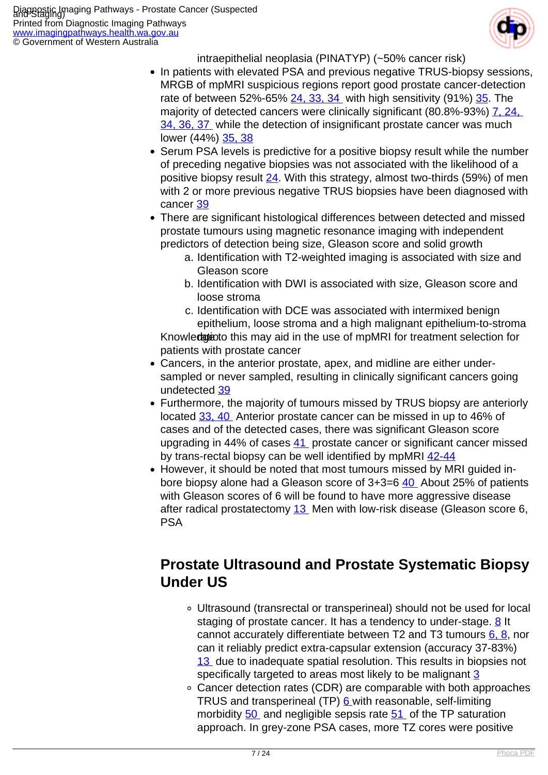

intraepithelial neoplasia (PINATYP) (~50% cancer risk)

- In patients with elevated PSA and previous negative TRUS-biopsy sessions, MRGB of mpMRI suspicious regions report good prostate cancer-detection rate of between  $52\% - 65\% - 24$ ,  $33$ ,  $34$  with high sensitivity (91%)  $35$ . The majority of detected cancers were clinically significant (80.8%-93%) [7,](index.php/imaging-pathways/urological/staging-of-prostate-cancer?tab=References#7) 24, [34, 36, 37](index.php/imaging-pathways/urological/staging-of-prostate-cancer?tab=References#34) while the detection of insignificant prostate cancer was much lower (44%) [35, 38](index.php/imaging-pathways/urological/staging-of-prostate-cancer?tab=References#35)
- Serum PSA levels is predictive for a positive biopsy result while the number of preceding negative biopsies was not associated with the likelihood of a positive biopsy result [24](index.php/imaging-pathways/urological/staging-of-prostate-cancer?tab=References#24). With this strategy, almost two-thirds (59%) of men with 2 or more previous negative TRUS biopsies have been diagnosed with cancer [39](index.php/imaging-pathways/urological/staging-of-prostate-cancer?tab=References#39)
- There are significant histological differences between detected and missed prostate tumours using magnetic resonance imaging with independent predictors of detection being size, Gleason score and solid growth
	- a. Identification with T2-weighted imaging is associated with size and Gleason score
	- b. Identification with DWI is associated with size, Gleason score and loose stroma
	- c. Identification with DCE was associated with intermixed benign epithelium, loose stroma and a high malignant epithelium-to-stroma

Knowledgie to this may aid in the use of mpMRI for treatment selection for patients with prostate cancer

- Cancers, in the anterior prostate, apex, and midline are either undersampled or never sampled, resulting in clinically significant cancers going undetected [39](index.php/imaging-pathways/urological/staging-of-prostate-cancer?tab=References#39)
- Furthermore, the majority of tumours missed by TRUS biopsy are anteriorly located [33,](index.php/imaging-pathways/urological/staging-of-prostate-cancer?tab=References#33) [40](index.php/imaging-pathways/urological/staging-of-prostate-cancer?tab=References#40) Anterior prostate cancer can be missed in up to 46% of cases and of the detected cases, there was significant Gleason score upgrading in 44% of cases [41](index.php/imaging-pathways/urological/staging-of-prostate-cancer?tab=References#41) prostate cancer or significant cancer missed by trans-rectal biopsy can be well identified by mpMRI  $42-44$
- However, it should be noted that most tumours missed by MRI quided in-bore biopsy alone had a Gleason score of 3+3=6 [40](index.php/imaging-pathways/urological/staging-of-prostate-cancer?tab=References#40) About 25% of patients with Gleason scores of 6 will be found to have more aggressive disease after radical prostatectomy [13](index.php/imaging-pathways/urological/staging-of-prostate-cancer?tab=References#13) Men with low-risk disease (Gleason score 6, PSA

## **Prostate Ultrasound and Prostate Systematic Biopsy Under US**

- Ultrasound (transrectal or transperineal) should not be used for local staging of prostate cancer. It has a tendency to under-stage. [8](index.php/imaging-pathways/urological/staging-of-prostate-cancer?tab=References#8) It cannot accurately differentiate between T2 and T3 tumours  $6, 8$ , nor can it reliably predict extra-capsular extension (accuracy 37-83%) [13](index.php/imaging-pathways/urological/staging-of-prostate-cancer?tab=References#13) due to inadequate spatial resolution. This results in biopsies not specifically targeted to areas most likely to be malignant [3](index.php/imaging-pathways/urological/staging-of-prostate-cancer?tab=References#3)
- Cancer detection rates (CDR) are comparable with both approaches TRUS and transperineal (TP) [6](index.php/imaging-pathways/urological/staging-of-prostate-cancer?tab=References#6) with reasonable, self-limiting morbidity [50](index.php/imaging-pathways/urological/staging-of-prostate-cancer?tab=References#50) and negligible sepsis rate [51](index.php/imaging-pathways/urological/staging-of-prostate-cancer?tab=References#51) of the TP saturation approach. In grey-zone PSA cases, more TZ cores were positive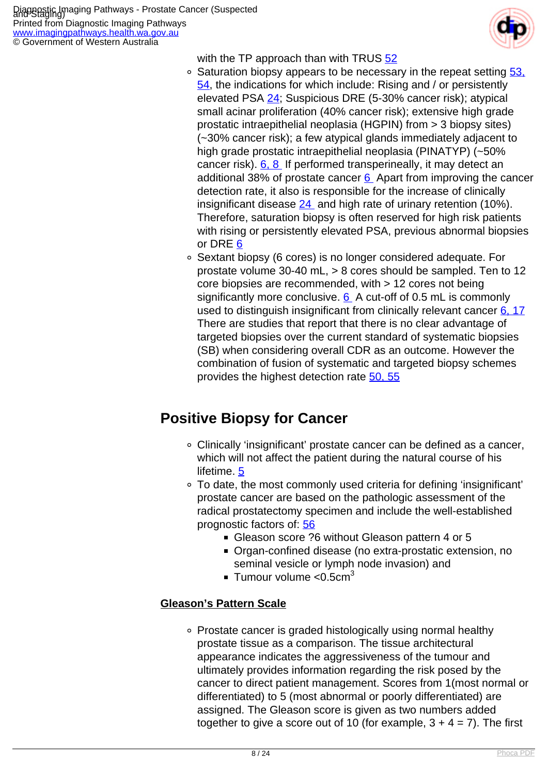Printed from Diagnostic Imaging Pathways [www.imagingpathways.health.wa.gov.au](http://www.imagingpathways.health.wa.gov.au/) © Government of Western Australia



with the TP approach than with TRUS [52](index.php/imaging-pathways/urological/staging-of-prostate-cancer?tab=References#52)

- $\circ$  Saturation biopsy appears to be necessary in the repeat setting  $\frac{53}{53}$ [54,](index.php/imaging-pathways/urological/staging-of-prostate-cancer?tab=References#53) the indications for which include: Rising and / or persistently elevated PSA [24;](index.php/imaging-pathways/urological/staging-of-prostate-cancer?tab=References#24) Suspicious DRE (5-30% cancer risk); atypical small acinar proliferation (40% cancer risk); extensive high grade prostatic intraepithelial neoplasia (HGPIN) from > 3 biopsy sites) (~30% cancer risk); a few atypical glands immediately adjacent to high grade prostatic intraepithelial neoplasia (PINATYP) (~50% cancer risk). [6, 8](index.php/imaging-pathways/urological/staging-of-prostate-cancer?tab=References#6) If performed transperineally, it may detect an additional 38% of prostate cancer  $6$  Apart from improving the cancer detection rate, it also is responsible for the increase of clinically insignificant disease  $24$  and high rate of urinary retention (10%). Therefore, saturation biopsy is often reserved for high risk patients with rising or persistently elevated PSA, previous abnormal biopsies or DRE [6](index.php/imaging-pathways/urological/staging-of-prostate-cancer?tab=References#6)
- Sextant biopsy (6 cores) is no longer considered adequate. For prostate volume 30-40 mL, > 8 cores should be sampled. Ten to 12 core biopsies are recommended, with > 12 cores not being significantly more conclusive.  $6$  A cut-off of 0.5 mL is commonly used to distinguish insignificant from clinically relevant cancer [6, 17](index.php/imaging-pathways/urological/staging-of-prostate-cancer?tab=References#6) There are studies that report that there is no clear advantage of targeted biopsies over the current standard of systematic biopsies (SB) when considering overall CDR as an outcome. However the combination of fusion of systematic and targeted biopsy schemes provides the highest detection rate [50, 55](index.php/imaging-pathways/urological/staging-of-prostate-cancer?tab=References#50)

## **Positive Biopsy for Cancer**

- Clinically 'insignificant' prostate cancer can be defined as a cancer, which will not affect the patient during the natural course of his lifetime. [5](index.php/imaging-pathways/urological/staging-of-prostate-cancer?tab=References#5)
- To date, the most commonly used criteria for defining 'insignificant' prostate cancer are based on the pathologic assessment of the radical prostatectomy specimen and include the well-established prognostic factors of: [56](index.php/imaging-pathways/urological/staging-of-prostate-cancer?tab=References#56)
	- Gleason score ?6 without Gleason pattern 4 or 5
	- Organ-confined disease (no extra-prostatic extension, no seminal vesicle or lymph node invasion) and
	- **Tumour volume < 0.5 cm** $3$

#### **Gleason's Pattern Scale**

Prostate cancer is graded histologically using normal healthy prostate tissue as a comparison. The tissue architectural appearance indicates the aggressiveness of the tumour and ultimately provides information regarding the risk posed by the cancer to direct patient management. Scores from 1(most normal or differentiated) to 5 (most abnormal or poorly differentiated) are assigned. The Gleason score is given as two numbers added together to give a score out of 10 (for example,  $3 + 4 = 7$ ). The first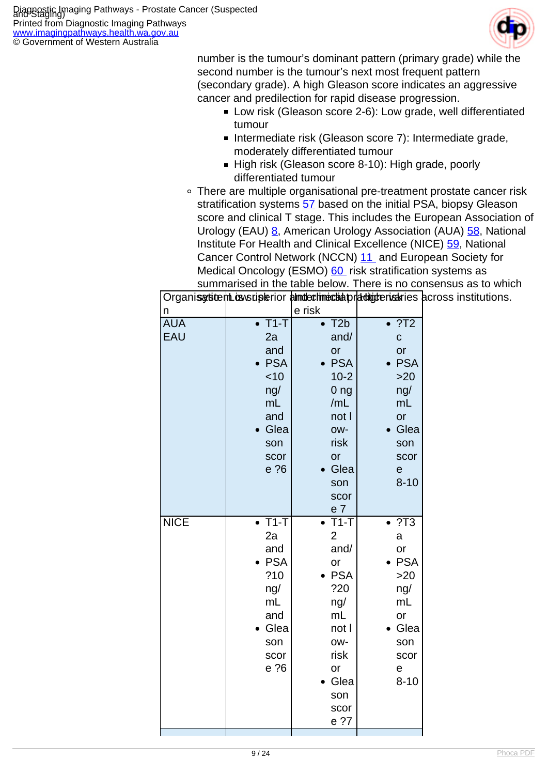

number is the tumour's dominant pattern (primary grade) while the second number is the tumour's next most frequent pattern (secondary grade). A high Gleason score indicates an aggressive cancer and predilection for rapid disease progression.

- Low risk (Gleason score 2-6): Low grade, well differentiated tumour
- Intermediate risk (Gleason score 7): Intermediate grade, moderately differentiated tumour
- High risk (Gleason score 8-10): High grade, poorly differentiated tumour
- There are multiple organisational pre-treatment prostate cancer risk stratification systems [57](index.php/imaging-pathways/urological/staging-of-prostate-cancer?tab=References#57) based on the initial PSA, biopsy Gleason score and clinical T stage. This includes the European Association of Urology (EAU) [8,](index.php/imaging-pathways/urological/staging-of-prostate-cancer?tab=References#8) American Urology Association (AUA) [58](index.php/imaging-pathways/urological/staging-of-prostate-cancer?tab=References#58), National Institute For Health and Clinical Excellence (NICE) [59](index.php/imaging-pathways/urological/staging-of-prostate-cancer?tab=References#59), National Cancer Control Network (NCCN) [11](index.php/imaging-pathways/urological/staging-of-prostate-cancer?tab=References#11) and European Society for Medical Oncology (ESMO) [60](index.php/imaging-pathways/urological/staging-of-prostate-cancer?tab=References#60) risk stratification systems as summarised in the table below. There is no consensus as to which

|             |                           |                           |                        | Organis article music assumer in the dimension of the material original consequences. |
|-------------|---------------------------|---------------------------|------------------------|---------------------------------------------------------------------------------------|
| n           |                           | e risk                    |                        |                                                                                       |
| <b>AUA</b>  | $\overline{\bullet}$ T1-T | $\bullet$ T2b             | $\overline{\cdot 712}$ |                                                                                       |
| <b>EAU</b>  | 2a                        | and/                      | $\mathbf C$            |                                                                                       |
|             | and                       | or                        | or                     |                                                                                       |
|             | • PSA                     | • PSA                     | $\bullet$ PSA          |                                                                                       |
|             | < 10                      | $10 - 2$                  | $>20$                  |                                                                                       |
|             | ng/                       | 0 <sub>ng</sub>           | ng/                    |                                                                                       |
|             | mL                        | /mL                       | mL                     |                                                                                       |
|             | and                       | not I                     | or                     |                                                                                       |
|             | • Glea                    | OW-                       | • Glea                 |                                                                                       |
|             | son                       | risk                      | son                    |                                                                                       |
|             | scor                      | or                        | scor                   |                                                                                       |
|             | e ?6                      | Glea                      | e                      |                                                                                       |
|             |                           | son                       | $8 - 10$               |                                                                                       |
|             |                           | scor                      |                        |                                                                                       |
|             |                           | e <sub>7</sub>            |                        |                                                                                       |
| <b>NICE</b> | $\overline{\bullet}$ T1-T | $\overline{\bullet}$ T1-T | $\overline{\cdot 713}$ |                                                                                       |
|             | 2a                        | $\overline{2}$            | a                      |                                                                                       |
|             | and<br>$\bullet$ PSA      | and/<br>or                | or<br>$\bullet$ PSA    |                                                                                       |
|             | ?10                       | $\bullet$ PSA             | >20                    |                                                                                       |
|             | ng/                       | ?20                       | ng/                    |                                                                                       |
|             | mL                        | ng/                       | mL                     |                                                                                       |
|             | and                       | mL                        | or                     |                                                                                       |
|             | • Glea                    | not l                     | • Glea                 |                                                                                       |
|             | son                       | OW-                       | son                    |                                                                                       |
|             | scor                      | risk                      | scor                   |                                                                                       |
|             | e ?6                      | or                        | e                      |                                                                                       |
|             |                           | • Glea                    | $8 - 10$               |                                                                                       |
|             |                           | son                       |                        |                                                                                       |
|             |                           | scor                      |                        |                                                                                       |
|             |                           | e ?7                      |                        |                                                                                       |
|             |                           |                           |                        |                                                                                       |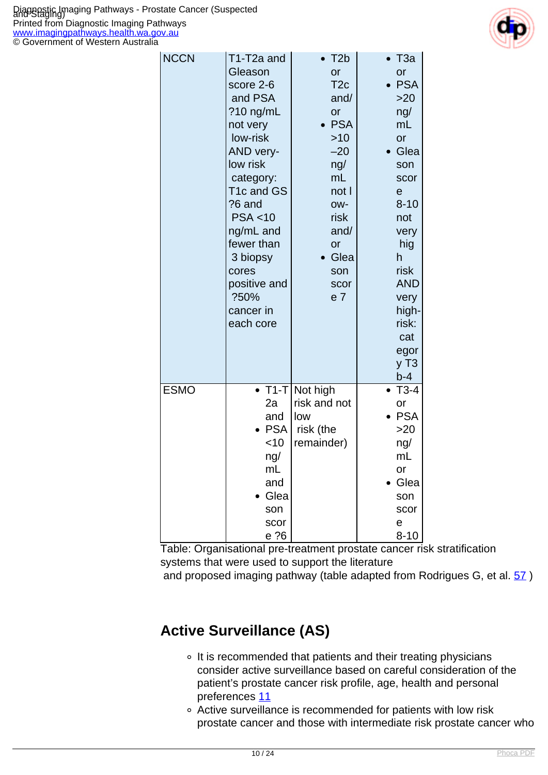

| <b>NCCN</b> | T1-T2a and<br>Gleason<br>score 2-6<br>and PSA<br>?10 ng/mL<br>not very<br>low-risk<br>AND very-<br>low risk<br>category:<br>T1c and GS<br>?6 and<br>PSA < 10<br>ng/mL and<br>fewer than<br>3 biopsy<br>cores<br>positive and<br>?50%<br>cancer in<br>each core | $\bullet$ T <sub>2</sub> b<br>or<br>T <sub>2c</sub><br>and/<br>or<br>$\bullet$ PSA<br>>10<br>$-20$<br>ng/<br>m <sub>L</sub><br>not l<br>OW-<br>risk<br>and/<br>or<br>• Glea<br>son<br>scor<br>e <sub>7</sub> | $\bullet$ T3a<br>or<br>$\bullet$ PSA<br>>20<br>ng/<br>mL<br>or<br>Glea<br>son<br>scor<br>$\mathbf e$<br>$8 - 10$<br>not<br>very<br>hig<br>h<br>risk<br><b>AND</b><br>very<br>high-<br>risk:<br>cat<br>egor<br>$y$ T <sub>3</sub><br>$b-4$ |
|-------------|----------------------------------------------------------------------------------------------------------------------------------------------------------------------------------------------------------------------------------------------------------------|--------------------------------------------------------------------------------------------------------------------------------------------------------------------------------------------------------------|-------------------------------------------------------------------------------------------------------------------------------------------------------------------------------------------------------------------------------------------|
| <b>ESMO</b> | $\bullet$ T1-T<br>2a<br>and<br><b>PSA</b><br><10<br>ng/<br>mL<br>and<br>Glea<br>son<br>scor<br>e ?6                                                                                                                                                            | Not high<br>risk and not<br>low<br>risk (the<br>remainder)                                                                                                                                                   | $• T3-4$<br>or<br><b>PSA</b><br>$>20$<br>ng/<br>mL<br>or<br>Glea<br>son<br>scor<br>е<br>$8 - 10$                                                                                                                                          |

Table: Organisational pre-treatment prostate cancer risk stratification systems that were used to support the literature and proposed imaging pathway (table adapted from Rodrigues G, et al. 57)

## **Active Surveillance (AS)**

- o It is recommended that patients and their treating physicians consider active surveillance based on careful consideration of the patient's prostate cancer risk profile, age, health and personal preferences [11](index.php/imaging-pathways/urological/staging-of-prostate-cancer?tab=References#11)
- Active surveillance is recommended for patients with low risk prostate cancer and those with intermediate risk prostate cancer who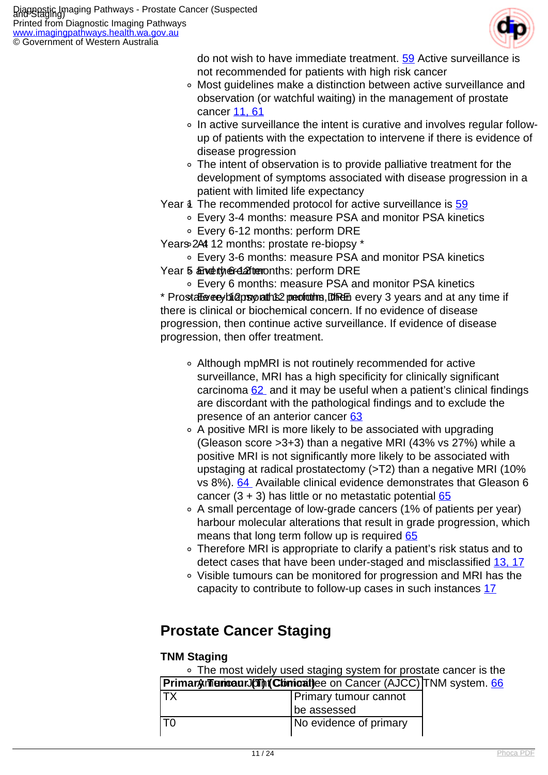[www.imagingpathways.health.wa.gov.au](http://www.imagingpathways.health.wa.gov.au/) © Government of Western Australia

do not wish to have immediate treatment. [59](index.php/imaging-pathways/urological/staging-of-prostate-cancer?tab=References#59) Active surveillance is not recommended for patients with high risk cancer

- Most guidelines make a distinction between active surveillance and observation (or watchful waiting) in the management of prostate cancer [11,](index.php/imaging-pathways/urological/staging-of-prostate-cancer?tab=References#11) [61](index.php/imaging-pathways/urological/staging-of-prostate-cancer?tab=References#61)
- In active surveillance the intent is curative and involves regular followup of patients with the expectation to intervene if there is evidence of disease progression
- The intent of observation is to provide palliative treatment for the development of symptoms associated with disease progression in a patient with limited life expectancy
- Year 4 The recommended protocol for active surveillance is [59](index.php/imaging-pathways/urological/staging-of-prostate-cancer?tab=References#59)
	- Every 3-4 months: measure PSA and monitor PSA kinetics
	- Every 6-12 months: perform DRE

Years 244 12 months: prostate re-biopsy \*

- Every 3-6 months: measure PSA and monitor PSA kinetics
- Year 5 and thereafter on ths: perform DRE

Every 6 months: measure PSA and monitor PSA kinetics \* Prostate re-bidge reath to peototing, the every 3 years and at any time if there is clinical or biochemical concern. If no evidence of disease progression, then continue active surveillance. If evidence of disease progression, then offer treatment.

- Although mpMRI is not routinely recommended for active surveillance, MRI has a high specificity for clinically significant carcinoma  $62$  and it may be useful when a patient's clinical findings are discordant with the pathological findings and to exclude the presence of an anterior cancer [63](index.php/imaging-pathways/urological/staging-of-prostate-cancer?tab=References#63)
- A positive MRI is more likely to be associated with upgrading (Gleason score >3+3) than a negative MRI (43% vs 27%) while a positive MRI is not significantly more likely to be associated with upstaging at radical prostatectomy (>T2) than a negative MRI (10% vs 8%). [64](index.php/imaging-pathways/urological/staging-of-prostate-cancer?tab=References#64) Available clinical evidence demonstrates that Gleason 6 cancer  $(3 + 3)$  has little or no metastatic potential  $65$
- A small percentage of low-grade cancers (1% of patients per year) harbour molecular alterations that result in grade progression, which means that long term follow up is required [65](index.php/imaging-pathways/urological/staging-of-prostate-cancer?tab=References#65)
- Therefore MRI is appropriate to clarify a patient's risk status and to detect cases that have been under-staged and misclassified [13, 17](index.php/imaging-pathways/urological/staging-of-prostate-cancer?tab=References#13)
- Visible tumours can be monitored for progression and MRI has the capacity to contribute to follow-up cases in such instances [17](index.php/imaging-pathways/urological/staging-of-prostate-cancer?tab=References#17)

#### **Prostate Cancer Staging**

#### **TNM Staging**

The most widely used staging system for prostate cancer is the

| Primaryment and The Chemical and Cancer (AJCC) TNM system. <b>66</b> |  |
|----------------------------------------------------------------------|--|
|                                                                      |  |

| Primary tumour cannot  |
|------------------------|
| be assessed            |
| No evidence of primary |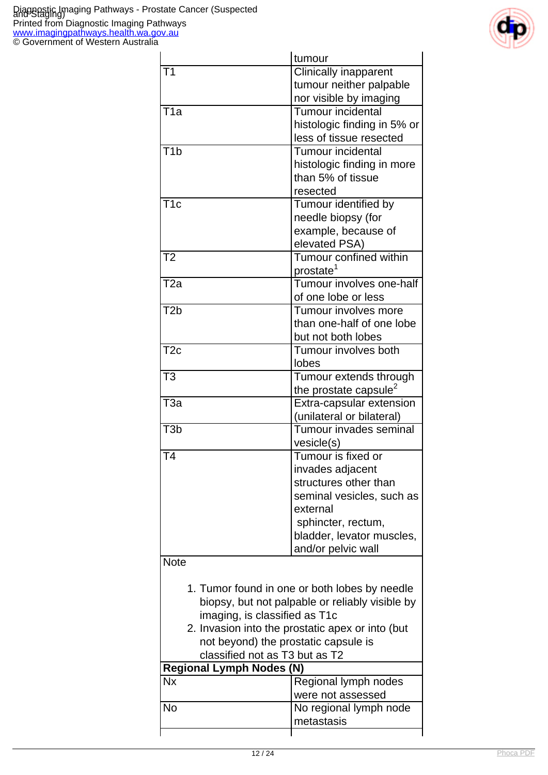

|                                      | tumour                                                                                           |
|--------------------------------------|--------------------------------------------------------------------------------------------------|
| T <sub>1</sub>                       | <b>Clinically inapparent</b>                                                                     |
|                                      | tumour neither palpable                                                                          |
|                                      | nor visible by imaging                                                                           |
| T <sub>1</sub> a                     | <b>Tumour incidental</b>                                                                         |
|                                      | histologic finding in 5% or                                                                      |
|                                      | less of tissue resected                                                                          |
| T <sub>1</sub> b                     | Tumour incidental                                                                                |
|                                      | histologic finding in more                                                                       |
|                                      | than 5% of tissue                                                                                |
|                                      | resected                                                                                         |
| $\overline{\text{T1c}}$              | Tumour identified by                                                                             |
|                                      | needle biopsy (for                                                                               |
|                                      | example, because of                                                                              |
|                                      | elevated PSA)                                                                                    |
| T <sub>2</sub>                       | Tumour confined within                                                                           |
|                                      | prostate <sup>1</sup>                                                                            |
| T <sub>2a</sub>                      | Tumour involves one-half                                                                         |
|                                      | of one lobe or less                                                                              |
| T <sub>2</sub> b                     | Tumour involves more                                                                             |
|                                      | than one-half of one lobe                                                                        |
|                                      | but not both lobes                                                                               |
| T <sub>2c</sub>                      | Tumour involves both                                                                             |
|                                      | lobes                                                                                            |
| T <sub>3</sub>                       | Tumour extends through                                                                           |
|                                      | the prostate capsule <sup>2</sup>                                                                |
| T <sub>3</sub> a                     | Extra-capsular extension                                                                         |
|                                      | (unilateral or bilateral)                                                                        |
| T <sub>3</sub> b                     | Tumour invades seminal                                                                           |
|                                      | vesicle(s)                                                                                       |
| T <sub>4</sub>                       | Tumour is fixed or                                                                               |
|                                      | invades adjacent                                                                                 |
|                                      | structures other than                                                                            |
|                                      | seminal vesicles, such as                                                                        |
|                                      | external                                                                                         |
|                                      | sphincter, rectum,                                                                               |
|                                      | bladder, levator muscles,                                                                        |
|                                      | and/or pelvic wall                                                                               |
| <b>Note</b>                          |                                                                                                  |
|                                      |                                                                                                  |
|                                      | 1. Tumor found in one or both lobes by needle<br>biopsy, but not palpable or reliably visible by |
| imaging, is classified as T1c        |                                                                                                  |
|                                      | 2. Invasion into the prostatic apex or into (but                                                 |
| not beyond) the prostatic capsule is |                                                                                                  |
| classified not as T3 but as T2       |                                                                                                  |
| <b>Regional Lymph Nodes (N)</b>      |                                                                                                  |
| <b>Nx</b>                            | Regional lymph nodes                                                                             |
|                                      | were not assessed                                                                                |
| <b>No</b>                            | No regional lymph node                                                                           |
|                                      | metastasis                                                                                       |
|                                      |                                                                                                  |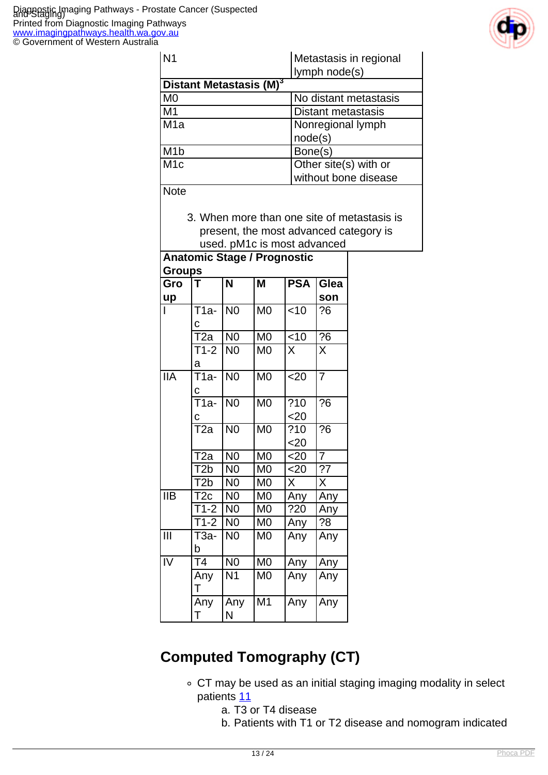

| IN1                                 | Metastasis in regional<br>lymph node(s) |
|-------------------------------------|-----------------------------------------|
| Distant Metastasis (M) <sup>3</sup> |                                         |
| M <sub>0</sub>                      | No distant metastasis                   |
| M <sub>1</sub>                      | <b>Distant metastasis</b>               |
| M1a                                 | Nonregional lymph                       |
|                                     | node(s)                                 |
| M <sub>1</sub> b                    | Bone(s)                                 |
| M <sub>1c</sub>                     | Other site(s) with or                   |
|                                     | without bone disease                    |
|                                     |                                         |

3. When more than one site of metastasis is

present, the most advanced category is used. pM1c is most advanced

|                           | <b>Anatomic Stage / Prognostic</b> |                         |                        |            |                         |  |
|---------------------------|------------------------------------|-------------------------|------------------------|------------|-------------------------|--|
|                           | <b>Groups</b>                      |                         |                        |            |                         |  |
| Gro                       | T                                  | $\overline{\mathsf{N}}$ | M                      | <b>PSA</b> | Glea                    |  |
| up                        |                                    |                         |                        |            | son                     |  |
|                           | _<br>Т1а-                          | N <sub>0</sub>          | M <sub>0</sub>         | $<$ 10     | ?6                      |  |
|                           | c                                  |                         |                        |            |                         |  |
|                           | $\overline{\text{T2a}}$            | N <sub>0</sub>          | $\overline{\text{M0}}$ | < 10       | $\overline{?6}$         |  |
|                           | $T1-2$                             | N <sub>0</sub>          | M <sub>0</sub>         | X          | X                       |  |
|                           | a                                  |                         |                        |            |                         |  |
| $\overline{\mathsf{IIA}}$ | T1a-                               | N <sub>0</sub>          | M <sub>0</sub>         | <20        | $\overline{7}$          |  |
|                           | C                                  |                         |                        |            |                         |  |
|                           | <del>T</del> 1a-                   | N <sub>0</sub>          | M <sub>0</sub>         | ?10        | $\overline{?}6$         |  |
|                           | С                                  |                         |                        | $<$ 20     |                         |  |
|                           | $\overline{12a}$                   | $\overline{N}$          | $\overline{\text{M0}}$ | ?10        | $\overline{?6}$         |  |
|                           |                                    |                         |                        | $20$       |                         |  |
|                           | $\overline{\text{T}}$ 2a           | N <sub>0</sub>          | M <sub>0</sub>         | $20$       | $\overline{7}$          |  |
|                           | T2b                                | N <sub>0</sub>          | M <sub>0</sub>         | $20$       | ?7                      |  |
|                           | T2b                                | N <sub>0</sub>          | M <sub>0</sub>         | X          | $\overline{\mathsf{X}}$ |  |
| $\overline{\mathsf{IIB}}$ | $\overline{\text{T2c}}$            | N <sub>0</sub>          | M <sub>0</sub>         | Any        | Any                     |  |
|                           | $T1-2$                             | N <sub>0</sub>          | M <sub>0</sub>         | ?20        | Any                     |  |
|                           | $\overline{71}$ -2                 | N <sub>0</sub>          | M <sub>0</sub>         | Any        | ?8                      |  |
| $\overline{\mathbb{H}}$   | $T3a-$                             | N <sub>0</sub>          | M <sub>0</sub>         | Any        | Any                     |  |
|                           | b                                  |                         |                        |            |                         |  |
| $\overline{\text{IV}}$    | $\overline{\mathsf{T}}\mathsf{4}$  | $\overline{N0}$         | $\overline{\text{M}}$  | Any        | Any                     |  |
|                           | Any<br>Т                           | N <sub>1</sub>          | M <sub>0</sub>         | Any        | Any                     |  |
|                           | Any<br>Ť                           | Any<br>N                | M <sub>1</sub>         | Any        | Any                     |  |

## **Computed Tomography (CT)**

- CT may be used as an initial staging imaging modality in select patients [11](index.php/imaging-pathways/urological/staging-of-prostate-cancer?tab=References#11)
	- a. T3 or T4 disease
	- b. Patients with T1 or T2 disease and nomogram indicated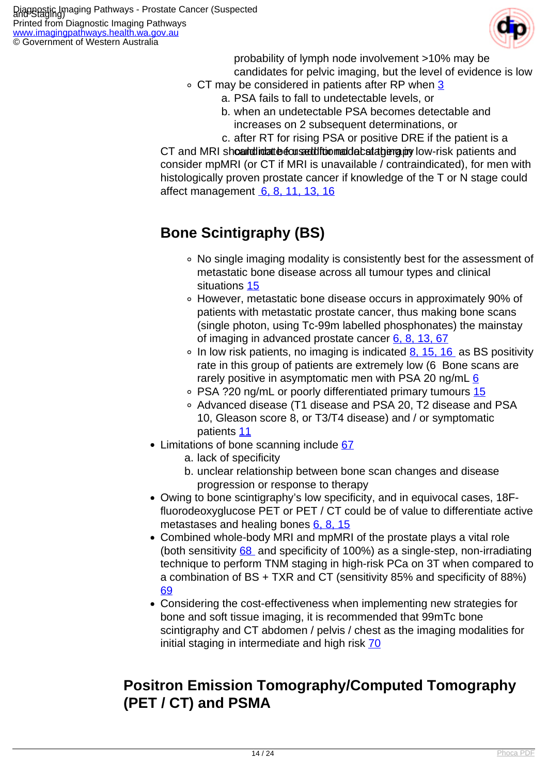

probability of lymph node involvement >10% may be candidates for pelvic imaging, but the level of evidence is low

- CT may be considered in patients after RP when [3](index.php/imaging-pathways/urological/staging-of-prostate-cancer?tab=References#3)
	- a. PSA fails to fall to undetectable levels, or
	- b. when an undetectable PSA becomes detectable and increases on 2 subsequent determinations, or

c. after RT for rising PSA or positive DRE if the patient is a CT and MRI should id atte cused through detail and can additional state for a and consider mpMRI (or CT if MRI is unavailable / contraindicated), for men with histologically proven prostate cancer if knowledge of the T or N stage could affect management [6, 8, 11, 13, 16](index.php/imaging-pathways/urological/staging-of-prostate-cancer?tab=References#6)

#### **Bone Scintigraphy (BS)**

- No single imaging modality is consistently best for the assessment of metastatic bone disease across all tumour types and clinical situations [15](index.php/imaging-pathways/urological/staging-of-prostate-cancer?tab=References#15)
- However, metastatic bone disease occurs in approximately 90% of patients with metastatic prostate cancer, thus making bone scans (single photon, using Tc-99m labelled phosphonates) the mainstay of imaging in advanced prostate cancer  $6, 8, 13, 67$
- $\circ$  In low risk patients, no imaging is indicated [8, 15, 16](index.php/imaging-pathways/urological/staging-of-prostate-cancer?tab=References#8) as BS positivity rate in this group of patients are extremely low (6 Bone scans are rarely positive in asymptomatic men with PSA 20 ng/mL $6$
- PSA ?20 ng/mL or poorly differentiated primary tumours [15](index.php/imaging-pathways/urological/staging-of-prostate-cancer?tab=References#15)
- Advanced disease (T1 disease and PSA 20, T2 disease and PSA 10, Gleason score 8, or T3/T4 disease) and / or symptomatic patients [11](index.php/imaging-pathways/urological/staging-of-prostate-cancer?tab=References#11)
- Limitations of bone scanning include [67](index.php/imaging-pathways/urological/staging-of-prostate-cancer?tab=References#67)
	- a. lack of specificity
	- b. unclear relationship between bone scan changes and disease progression or response to therapy
- Owing to bone scintigraphy's low specificity, and in equivocal cases, 18Ffluorodeoxyglucose PET or PET / CT could be of value to differentiate active metastases and healing bones  $6, 8, 15$
- Combined whole-body MRI and mpMRI of the prostate plays a vital role (both sensitivity  $68$  and specificity of 100%) as a single-step, non-irradiating technique to perform TNM staging in high-risk PCa on 3T when compared to a combination of BS + TXR and CT (sensitivity 85% and specificity of 88%) [69](index.php/imaging-pathways/urological/staging-of-prostate-cancer?tab=References#69)
- Considering the cost-effectiveness when implementing new strategies for bone and soft tissue imaging, it is recommended that 99mTc bone scintigraphy and CT abdomen / pelvis / chest as the imaging modalities for initial staging in intermediate and high risk  $70$

#### **Positron Emission Tomography/Computed Tomography (PET / CT) and PSMA**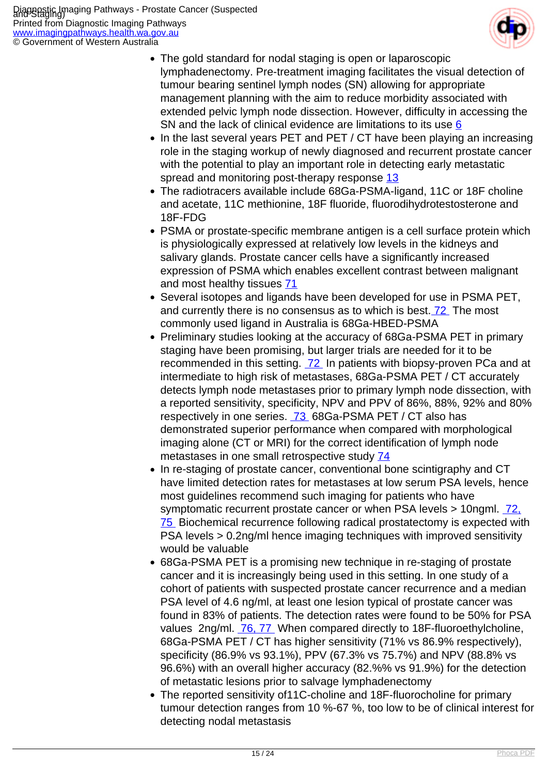

- The gold standard for nodal staging is open or laparoscopic lymphadenectomy. Pre-treatment imaging facilitates the visual detection of tumour bearing sentinel lymph nodes (SN) allowing for appropriate management planning with the aim to reduce morbidity associated with extended pelvic lymph node dissection. However, difficulty in accessing the SN and the lack of clinical evidence are limitations to its use [6](index.php/imaging-pathways/urological/staging-of-prostate-cancer?tab=References#6)
- In the last several years PET and PET / CT have been playing an increasing role in the staging workup of newly diagnosed and recurrent prostate cancer with the potential to play an important role in detecting early metastatic spread and monitoring post-therapy response [13](index.php/imaging-pathways/urological/staging-of-prostate-cancer?tab=References#13)
- The radiotracers available include 68Ga-PSMA-ligand, 11C or 18F choline and acetate, 11C methionine, 18F fluoride, fluorodihydrotestosterone and 18F-FDG
- PSMA or prostate-specific membrane antigen is a cell surface protein which is physiologically expressed at relatively low levels in the kidneys and salivary glands. Prostate cancer cells have a significantly increased expression of PSMA which enables excellent contrast between malignant and most healthy tissues [71](index.php/imaging-pathways/urological/staging-of-prostate-cancer?tab=References#71)
- Several isotopes and ligands have been developed for use in PSMA PET, and currently there is no consensus as to which is best[. 72](index.php/imaging-pathways/urological/staging-of-prostate-cancer?tab=References#72) The most commonly used ligand in Australia is 68Ga-HBED-PSMA
- Preliminary studies looking at the accuracy of 68Ga-PSMA PET in primary staging have been promising, but larger trials are needed for it to be recommended in this setting. [72](index.php/imaging-pathways/urological/staging-of-prostate-cancer?tab=References#72) In patients with biopsy-proven PCa and at intermediate to high risk of metastases, 68Ga-PSMA PET / CT accurately detects lymph node metastases prior to primary lymph node dissection, with a reported sensitivity, specificity, NPV and PPV of 86%, 88%, 92% and 80% respectively in one series. [73](index.php/imaging-pathways/urological/staging-of-prostate-cancer?tab=References#73) 68Ga-PSMA PET / CT also has demonstrated superior performance when compared with morphological imaging alone (CT or MRI) for the correct identification of lymph node metastases in one small retrospective study [74](index.php/imaging-pathways/urological/staging-of-prostate-cancer?tab=References#74)
- In re-staging of prostate cancer, conventional bone scintigraphy and CT have limited detection rates for metastases at low serum PSA levels, hence most guidelines recommend such imaging for patients who have symptomatic recurrent prostate cancer or when PSA levels > 10ngml. [72,](index.php/imaging-pathways/urological/staging-of-prostate-cancer?tab=References#72) [75](index.php/imaging-pathways/urological/staging-of-prostate-cancer?tab=References#72) Biochemical recurrence following radical prostatectomy is expected with PSA levels > 0.2ng/ml hence imaging techniques with improved sensitivity would be valuable
- 68Ga-PSMA PET is a promising new technique in re-staging of prostate cancer and it is increasingly being used in this setting. In one study of a cohort of patients with suspected prostate cancer recurrence and a median PSA level of 4.6 ng/ml, at least one lesion typical of prostate cancer was found in 83% of patients. The detection rates were found to be 50% for PSA values 2ng/ml. [76, 77](index.php/imaging-pathways/urological/staging-of-prostate-cancer?tab=References#76) When compared directly to 18F-fluoroethylcholine, 68Ga-PSMA PET / CT has higher sensitivity (71% vs 86.9% respectively), specificity (86.9% vs 93.1%), PPV (67.3% vs 75.7%) and NPV (88.8% vs 96.6%) with an overall higher accuracy (82.%% vs 91.9%) for the detection of metastatic lesions prior to salvage lymphadenectomy
- The reported sensitivity of11C-choline and 18F-fluorocholine for primary tumour detection ranges from 10 %-67 %, too low to be of clinical interest for detecting nodal metastasis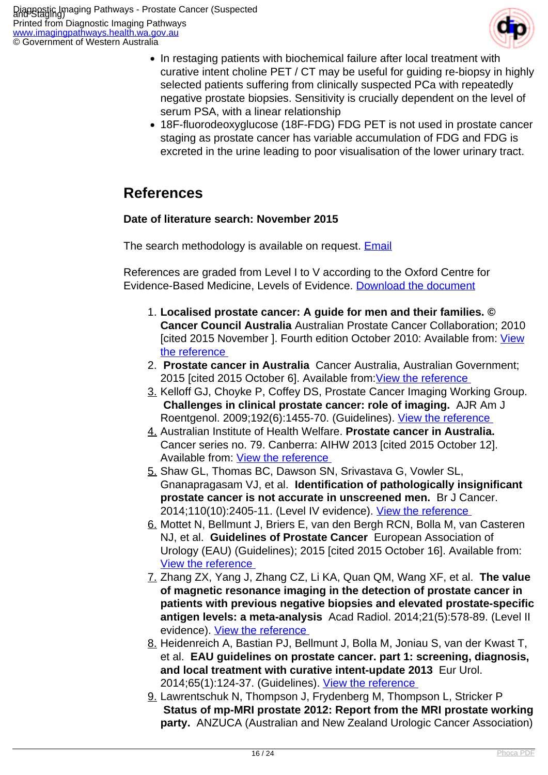

- In restaging patients with biochemical failure after local treatment with curative intent choline PET / CT may be useful for guiding re-biopsy in highly selected patients suffering from clinically suspected PCa with repeatedly negative prostate biopsies. Sensitivity is crucially dependent on the level of serum PSA, with a linear relationship
- 18F-fluorodeoxyglucose (18F-FDG) FDG PET is not used in prostate cancer staging as prostate cancer has variable accumulation of FDG and FDG is excreted in the urine leading to poor visualisation of the lower urinary tract.

#### **References**

#### **Date of literature search: November 2015**

The search methodology is available on request. **[Email](index.php/contact-us)** 

References are graded from Level I to V according to the Oxford Centre for Evidence-Based Medicine, Levels of Evidence. [Download the document](http://www.cebm.net/wp-content/uploads/2014/06/CEBM-Levels-of-Evidence-2.1.pdf)

- 1. **Localised prostate cancer: A guide for men and their families. © Cancer Council Australia** Australian Prostate Cancer Collaboration; 2010 [cited 2015 November ]. Fourth edition October 2010: Available from: [View](http://www.cancer.org.au/content/pdf/HealthProfessionals/ClinicalGuidelines/Localised_Prostate_Cancer_book_Web_2010.pdf ) [the reference](http://www.cancer.org.au/content/pdf/HealthProfessionals/ClinicalGuidelines/Localised_Prostate_Cancer_book_Web_2010.pdf )
- 2. **Prostate cancer in Australia** Cancer Australia, Australian Government; 2015 [cited 2015 October 6]. Available from: View the reference
- 3. Kelloff GJ, Choyke P, Coffey DS, Prostate Cancer Imaging Working Group.  **Challenges in clinical prostate cancer: role of imaging.** AJR Am J Roentgenol. 2009;192(6):1455-70. (Guidelines). [View the reference](http://www.ncbi.nlm.nih.gov/pubmed/19457806 )
- 4. Australian Institute of Health Welfare. **Prostate cancer in Australia.**  Cancer series no. 79. Canberra: AIHW 2013 [cited 2015 October 12]. Available from: [View the reference](http://www.aihw.gov.au/WorkArea/DownloadAsset.aspx?id=60129545133 )
- 5. Shaw GL, Thomas BC, Dawson SN, Srivastava G, Vowler SL, Gnanapragasam VJ, et al. **Identification of pathologically insignificant prostate cancer is not accurate in unscreened men.** Br J Cancer. 2014;110(10):2405-11. (Level IV evidence). View the reference
- 6. Mottet N, Bellmunt J, Briers E, van den Bergh RCN, Bolla M, van Casteren NJ, et al. **Guidelines of Prostate Cancer** European Association of Urology (EAU) (Guidelines); 2015 [cited 2015 October 16]. Available from: [View the reference](https://uroweb.org/individual-guidelines/oncology-guidelines/ )
- 7. Zhang ZX, Yang J, Zhang CZ, Li KA, Quan QM, Wang XF, et al. **The value of magnetic resonance imaging in the detection of prostate cancer in patients with previous negative biopsies and elevated prostate-specific antigen levels: a meta-analysis** Acad Radiol. 2014;21(5):578-89. (Level II evidence). [View the reference](http://www.ncbi.nlm.nih.gov/pubmed/24703470 )
- 8. Heidenreich A, Bastian PJ, Bellmunt J, Bolla M, Joniau S, van der Kwast T, et al. **EAU guidelines on prostate cancer. part 1: screening, diagnosis, and local treatment with curative intent-update 2013** Eur Urol. 2014;65(1):124-37. (Guidelines). View the reference
- 9. Lawrentschuk N, Thompson J, Frydenberg M, Thompson L, Stricker P  **Status of mp-MRI prostate 2012: Report from the MRI prostate working party.** ANZUCA (Australian and New Zealand Urologic Cancer Association)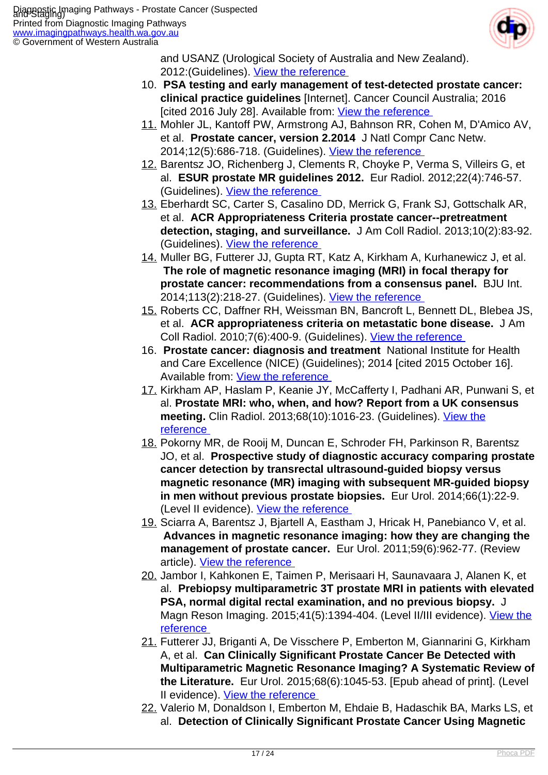

and USANZ (Urological Society of Australia and New Zealand). 2012: (Guidelines). View the reference

- 10. **PSA testing and early management of test-detected prostate cancer: clinical practice guidelines** [Internet]. Cancer Council Australia; 2016 [cited 2016 July 28]. Available from: View the reference
- 11. Mohler JL, Kantoff PW, Armstrong AJ, Bahnson RR, Cohen M, D'Amico AV, et al. **Prostate cancer, version 2.2014** J Natl Compr Canc Netw. 2014;12(5):686-718. (Guidelines). [View the reference](http://www.ncbi.nlm.nih.gov/pubmed/24812137 )
- 12. Barentsz JO, Richenberg J, Clements R, Choyke P, Verma S, Villeirs G, et al. **ESUR prostate MR guidelines 2012.** Eur Radiol. 2012;22(4):746-57. (Guidelines). View the reference
- 13. Eberhardt SC, Carter S, Casalino DD, Merrick G, Frank SJ, Gottschalk AR, et al. **ACR Appropriateness Criteria prostate cancer--pretreatment detection, staging, and surveillance.** J Am Coll Radiol. 2013;10(2):83-92. (Guidelines). View the reference
- 14. Muller BG, Futterer JJ, Gupta RT, Katz A, Kirkham A, Kurhanewicz J, et al.  **The role of magnetic resonance imaging (MRI) in focal therapy for prostate cancer: recommendations from a consensus panel.** BJU Int. 2014;113(2):218-27. (Guidelines). [View the reference](http://www.ncbi.nlm.nih.gov/pubmed/24215670 )
- 15. Roberts CC, Daffner RH, Weissman BN, Bancroft L, Bennett DL, Blebea JS, et al. **ACR appropriateness criteria on metastatic bone disease.** J Am Coll Radiol. 2010;7(6):400-9. (Guidelines). [View the reference](http://www.ncbi.nlm.nih.gov/pubmed/20522392 )
- 16. **Prostate cancer: diagnosis and treatment** National Institute for Health and Care Excellence (NICE) (Guidelines); 2014 [cited 2015 October 16]. Available from: View the reference
- 17. Kirkham AP, Haslam P, Keanie JY, McCafferty I, Padhani AR, Punwani S, et al. **Prostate MRI: who, when, and how? Report from a UK consensus meeting.** Clin Radiol. 2013;68(10):1016-23. (Guidelines). [View the](http://www.ncbi.nlm.nih.gov/pubmed/23827086 ) [reference](http://www.ncbi.nlm.nih.gov/pubmed/23827086 )
- 18. Pokorny MR, de Rooij M, Duncan E, Schroder FH, Parkinson R, Barentsz JO, et al. **Prospective study of diagnostic accuracy comparing prostate cancer detection by transrectal ultrasound-guided biopsy versus magnetic resonance (MR) imaging with subsequent MR-guided biopsy in men without previous prostate biopsies.** Eur Urol. 2014;66(1):22-9. (Level II evidence). [View the reference](http://www.ncbi.nlm.nih.gov/pubmed/24666839 )
- 19. Sciarra A, Barentsz J, Bjartell A, Eastham J, Hricak H, Panebianco V, et al.  **Advances in magnetic resonance imaging: how they are changing the management of prostate cancer.** Eur Urol. 2011;59(6):962-77. (Review article). [View the reference](http://www.ncbi.nlm.nih.gov/pubmed/21367519 )
- 20. Jambor I, Kahkonen E, Taimen P, Merisaari H, Saunavaara J, Alanen K, et al. **Prebiopsy multiparametric 3T prostate MRI in patients with elevated PSA, normal digital rectal examination, and no previous biopsy.** J Magn Reson Imaging. 2015;41(5):1394-404. (Level II/III evidence). [View the](http://www.ncbi.nlm.nih.gov/pubmed/24956412 ) [reference](http://www.ncbi.nlm.nih.gov/pubmed/24956412 )
- 21. Futterer JJ, Briganti A, De Visschere P, Emberton M, Giannarini G, Kirkham A, et al. **Can Clinically Significant Prostate Cancer Be Detected with Multiparametric Magnetic Resonance Imaging? A Systematic Review of the Literature.** Eur Urol. 2015;68(6):1045-53. [Epub ahead of print]. (Level II evidence). [View the reference](http://www.ncbi.nlm.nih.gov/pubmed/25656808 )
- 22. Valerio M, Donaldson I, Emberton M, Ehdaie B, Hadaschik BA, Marks LS, et al. **Detection of Clinically Significant Prostate Cancer Using Magnetic**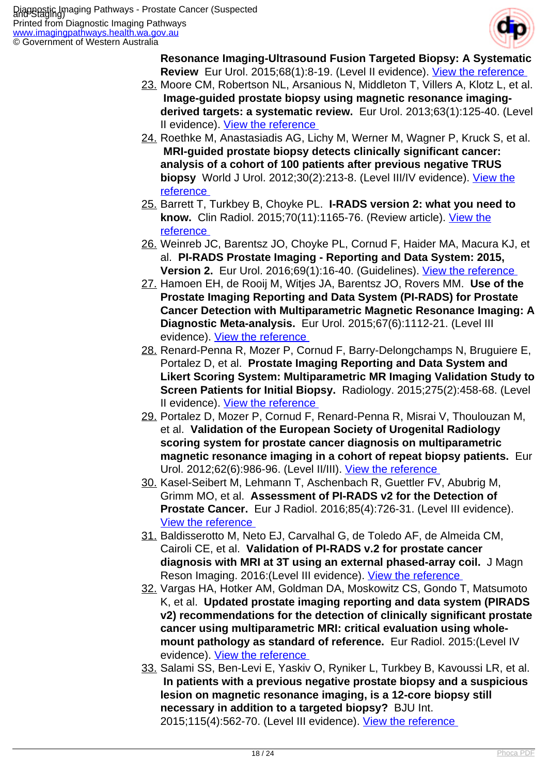

**Resonance Imaging-Ultrasound Fusion Targeted Biopsy: A Systematic Review** Eur Urol. 2015;68(1):8-19. (Level II evidence). View the reference

- 23. Moore CM, Robertson NL, Arsanious N, Middleton T, Villers A, Klotz L, et al.  **Image-guided prostate biopsy using magnetic resonance imagingderived targets: a systematic review.** Eur Urol. 2013;63(1):125-40. (Level II evidence). View the reference
- 24. Roethke M, Anastasiadis AG, Lichy M, Werner M, Wagner P, Kruck S, et al.  **MRI-guided prostate biopsy detects clinically significant cancer: analysis of a cohort of 100 patients after previous negative TRUS biopsy** World J Urol. 2012;30(2):213-8. (Level III/IV evidence). [View the](http://www.ncbi.nlm.nih.gov/pubmed/21512807 ) [reference](http://www.ncbi.nlm.nih.gov/pubmed/21512807 )
- 25. Barrett T, Turkbey B, Choyke PL. **I-RADS version 2: what you need to know.** Clin Radiol. 2015;70(11):1165-76. (Review article). [View the](http://www.ncbi.nlm.nih.gov/pubmed/26231470 ) [reference](http://www.ncbi.nlm.nih.gov/pubmed/26231470 )
- 26. Weinreb JC, Barentsz JO, Choyke PL, Cornud F, Haider MA, Macura KJ, et al. **PI-RADS Prostate Imaging - Reporting and Data System: 2015, Version 2.** Eur Urol. 2016;69(1):16-40. (Guidelines). [View the reference](http://www.ncbi.nlm.nih.gov/pubmed/26427566 )
- 27. Hamoen EH, de Rooij M, Witjes JA, Barentsz JO, Rovers MM. **Use of the Prostate Imaging Reporting and Data System (PI-RADS) for Prostate Cancer Detection with Multiparametric Magnetic Resonance Imaging: A Diagnostic Meta-analysis.** Eur Urol. 2015;67(6):1112-21. (Level III evidence). [View the reference](http://www.ncbi.nlm.nih.gov/pubmed/25466942 )
- 28. Renard-Penna R, Mozer P, Cornud F, Barry-Delongchamps N, Bruguiere E, Portalez D, et al. **Prostate Imaging Reporting and Data System and Likert Scoring System: Multiparametric MR Imaging Validation Study to Screen Patients for Initial Biopsy.** Radiology. 2015;275(2):458-68. (Level II evidence). [View the reference](http://www.ncbi.nlm.nih.gov/pubmed/25599415 )
- 29. Portalez D, Mozer P, Cornud F, Renard-Penna R, Misrai V, Thoulouzan M, et al. **Validation of the European Society of Urogenital Radiology scoring system for prostate cancer diagnosis on multiparametric magnetic resonance imaging in a cohort of repeat biopsy patients.** Eur Urol. 2012;62(6):986-96. (Level II/III). [View the reference](http://www.ncbi.nlm.nih.gov/pubmed/22819387 )
- 30. Kasel-Seibert M, Lehmann T, Aschenbach R, Guettler FV, Abubrig M, Grimm MO, et al. **Assessment of PI-RADS v2 for the Detection of Prostate Cancer.** Eur J Radiol. 2016;85(4):726-31. (Level III evidence). [View the reference](http://www.ncbi.nlm.nih.gov/pubmed/26971415 )
- 31. Baldisserotto M, Neto EJ, Carvalhal G, de Toledo AF, de Almeida CM, Cairoli CE, et al. **Validation of PI-RADS v.2 for prostate cancer diagnosis with MRI at 3T using an external phased-array coil.** J Magn Reson Imaging. 2016: (Level III evidence). View the reference
- 32. Vargas HA, Hotker AM, Goldman DA, Moskowitz CS, Gondo T, Matsumoto K, et al. **Updated prostate imaging reporting and data system (PIRADS v2) recommendations for the detection of clinically significant prostate cancer using multiparametric MRI: critical evaluation using wholemount pathology as standard of reference.** Eur Radiol. 2015:(Level IV evidence). [View the reference](http://www.ncbi.nlm.nih.gov/pubmed/26396111 )
- 33. Salami SS, Ben-Levi E, Yaskiv O, Ryniker L, Turkbey B, Kavoussi LR, et al.  **In patients with a previous negative prostate biopsy and a suspicious lesion on magnetic resonance imaging, is a 12-core biopsy still necessary in addition to a targeted biopsy?** BJU Int. 2015;115(4):562-70. (Level III evidence). View the reference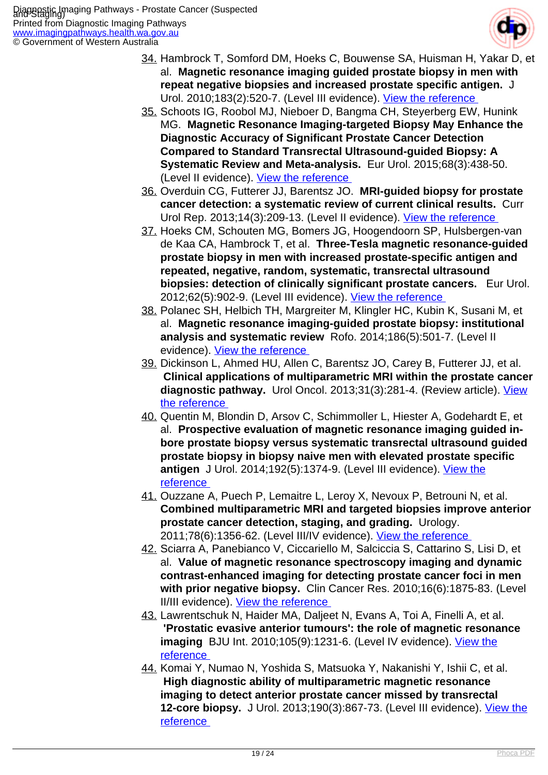

- 34. Hambrock T, Somford DM, Hoeks C, Bouwense SA, Huisman H, Yakar D, et al. **Magnetic resonance imaging guided prostate biopsy in men with repeat negative biopsies and increased prostate specific antigen.** J Urol. 2010;183(2):520-7. (Level III evidence). [View the reference](http://www.ncbi.nlm.nih.gov/pubmed/20006859 )
- 35. Schoots IG, Roobol MJ, Nieboer D, Bangma CH, Steyerberg EW, Hunink MG. **Magnetic Resonance Imaging-targeted Biopsy May Enhance the Diagnostic Accuracy of Significant Prostate Cancer Detection Compared to Standard Transrectal Ultrasound-guided Biopsy: A Systematic Review and Meta-analysis.** Eur Urol. 2015;68(3):438-50. (Level II evidence). [View the reference](http://www.ncbi.nlm.nih.gov/pubmed/25480312 )
- 36. Overduin CG, Futterer JJ, Barentsz JO. **MRI-guided biopsy for prostate cancer detection: a systematic review of current clinical results.** Curr Urol Rep. 2013;14(3):209-13. (Level II evidence). [View the reference](http://www.ncbi.nlm.nih.gov/pubmed/23568624 )
- 37. Hoeks CM, Schouten MG, Bomers JG, Hoogendoorn SP, Hulsbergen-van de Kaa CA, Hambrock T, et al. **Three-Tesla magnetic resonance-guided prostate biopsy in men with increased prostate-specific antigen and repeated, negative, random, systematic, transrectal ultrasound biopsies: detection of clinically significant prostate cancers.** Eur Urol. 2012;62(5):902-9. (Level III evidence). [View the reference](http://www.ncbi.nlm.nih.gov/pubmed/22325447 )
- 38. Polanec SH, Helbich TH, Margreiter M, Klingler HC, Kubin K, Susani M, et al. **Magnetic resonance imaging-guided prostate biopsy: institutional analysis and systematic review** Rofo. 2014;186(5):501-7. (Level II evidence). [View the reference](http://www.ncbi.nlm.nih.gov/pubmed/24497092 )
- 39. Dickinson L, Ahmed HU, Allen C, Barentsz JO, Carey B, Futterer JJ, et al.  **Clinical applications of multiparametric MRI within the prostate cancer diagnostic pathway.** Urol Oncol. 2013;31(3):281-4. (Review article). [View](http://www.ncbi.nlm.nih.gov/pubmed/23627000 ) [the reference](http://www.ncbi.nlm.nih.gov/pubmed/23627000 )
- 40. Quentin M, Blondin D, Arsov C, Schimmoller L, Hiester A, Godehardt E, et al. **Prospective evaluation of magnetic resonance imaging guided inbore prostate biopsy versus systematic transrectal ultrasound guided prostate biopsy in biopsy naive men with elevated prostate specific antigen** J Urol. 2014;192(5):1374-9. (Level III evidence). [View the](http://www.ncbi.nlm.nih.gov/pubmed/24866597 ) [reference](http://www.ncbi.nlm.nih.gov/pubmed/24866597 )
- 41. Ouzzane A, Puech P, Lemaitre L, Leroy X, Nevoux P, Betrouni N, et al. **Combined multiparametric MRI and targeted biopsies improve anterior prostate cancer detection, staging, and grading.** Urology. 2011;78(6):1356-62. (Level III/IV evidence). View the reference
- 42. Sciarra A, Panebianco V, Ciccariello M, Salciccia S, Cattarino S, Lisi D, et al. **Value of magnetic resonance spectroscopy imaging and dynamic contrast-enhanced imaging for detecting prostate cancer foci in men with prior negative biopsy.** Clin Cancer Res. 2010;16(6):1875-83. (Level II/III evidence). [View the reference](http://www.ncbi.nlm.nih.gov/pubmed/20197480 )
- 43. Lawrentschuk N, Haider MA, Daljeet N, Evans A, Toi A, Finelli A, et al.  **'Prostatic evasive anterior tumours': the role of magnetic resonance imaging** BJU Int. 2010;105(9):1231-6. (Level IV evidence). [View the](http://www.ncbi.nlm.nih.gov/pubmed/19817743 ) [reference](http://www.ncbi.nlm.nih.gov/pubmed/19817743 )
- 44. Komai Y, Numao N, Yoshida S, Matsuoka Y, Nakanishi Y, Ishii C, et al.  **High diagnostic ability of multiparametric magnetic resonance imaging to detect anterior prostate cancer missed by transrectal 12-core biopsy.** J Urol. 2013;190(3):867-73. (Level III evidence). [View the](http://www.ncbi.nlm.nih.gov/pubmed/23542406 ) [reference](http://www.ncbi.nlm.nih.gov/pubmed/23542406 )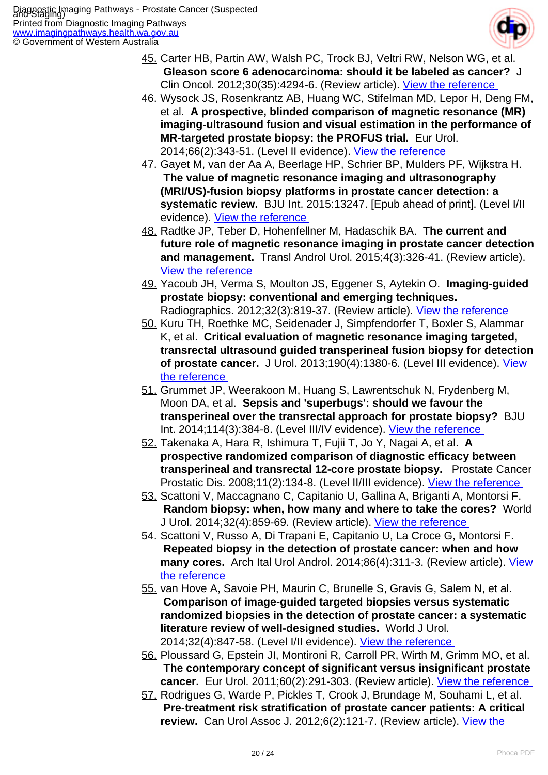

- 45. Carter HB, Partin AW, Walsh PC, Trock BJ, Veltri RW, Nelson WG, et al.  **Gleason score 6 adenocarcinoma: should it be labeled as cancer?** J Clin Oncol. 2012;30(35):4294-6. (Review article). View the reference
- 46. Wysock JS, Rosenkrantz AB, Huang WC, Stifelman MD, Lepor H, Deng FM, et al. **A prospective, blinded comparison of magnetic resonance (MR) imaging-ultrasound fusion and visual estimation in the performance of MR-targeted prostate biopsy: the PROFUS trial.** Eur Urol. 2014;66(2):343-51. (Level II evidence). [View the reference](http://www.ncbi.nlm.nih.gov/pubmed/24262102 )
- 47. Gayet M, van der Aa A, Beerlage HP, Schrier BP, Mulders PF, Wijkstra H.  **The value of magnetic resonance imaging and ultrasonography (MRI/US)-fusion biopsy platforms in prostate cancer detection: a systematic review.** BJU Int. 2015:13247. [Epub ahead of print]. (Level I/II evidence). [View the reference](http://www.ncbi.nlm.nih.gov/pubmed/26237632 )
- 48. Radtke JP, Teber D, Hohenfellner M, Hadaschik BA. **The current and future role of magnetic resonance imaging in prostate cancer detection and management.** Transl Androl Urol. 2015;4(3):326-41. (Review article). [View the reference](http://www.ncbi.nlm.nih.gov/pubmed/26816833 )
- 49. Yacoub JH, Verma S, Moulton JS, Eggener S, Aytekin O. **Imaging-guided prostate biopsy: conventional and emerging techniques.**  Radiographics. 2012;32(3):819-37. (Review article). View the reference
- 50. Kuru TH, Roethke MC, Seidenader J, Simpfendorfer T, Boxler S, Alammar K, et al. **Critical evaluation of magnetic resonance imaging targeted, transrectal ultrasound guided transperineal fusion biopsy for detection of prostate cancer.** J Urol. 2013;190(4):1380-6. (Level III evidence). [View](http://www.ncbi.nlm.nih.gov/pubmed/23608676 ) [the reference](http://www.ncbi.nlm.nih.gov/pubmed/23608676 )
- 51. Grummet JP, Weerakoon M, Huang S, Lawrentschuk N, Frydenberg M, Moon DA, et al. **Sepsis and 'superbugs': should we favour the transperineal over the transrectal approach for prostate biopsy?** BJU Int. 2014;114(3):384-8. (Level III/IV evidence). [View the reference](http://www.ncbi.nlm.nih.gov/pubmed/24612341 )
- 52. Takenaka A, Hara R, Ishimura T, Fujii T, Jo Y, Nagai A, et al. **A prospective randomized comparison of diagnostic efficacy between transperineal and transrectal 12-core prostate biopsy.** Prostate Cancer Prostatic Dis. 2008;11(2):134-8. (Level II/III evidence). View the reference
- 53. Scattoni V, Maccagnano C, Capitanio U, Gallina A, Briganti A, Montorsi F.  **Random biopsy: when, how many and where to take the cores?** World J Urol. 2014;32(4):859-69. (Review article). [View the reference](http://www.ncbi.nlm.nih.gov/pubmed/24908067 )
- 54. Scattoni V, Russo A, Di Trapani E, Capitanio U, La Croce G, Montorsi F.  **Repeated biopsy in the detection of prostate cancer: when and how** many cores. Arch Ital Urol Androl. 2014;86(4):311-3. (Review article). [View](http://www.ncbi.nlm.nih.gov/pubmed/25641460 ) [the reference](http://www.ncbi.nlm.nih.gov/pubmed/25641460 )
- 55. van Hove A, Savoie PH, Maurin C, Brunelle S, Gravis G, Salem N, et al.  **Comparison of image-guided targeted biopsies versus systematic randomized biopsies in the detection of prostate cancer: a systematic literature review of well-designed studies.** World J Urol. 2014;32(4):847-58. (Level I/II evidence). [View the reference](http://www.ncbi.nlm.nih.gov/pubmed/24919965 )
- 56. Ploussard G, Epstein JI, Montironi R, Carroll PR, Wirth M, Grimm MO, et al.  **The contemporary concept of significant versus insignificant prostate cancer.** Eur Urol. 2011;60(2):291-303. (Review article). [View the reference](http://www.ncbi.nlm.nih.gov/pubmed/21601982 )
- 57. Rodrigues G, Warde P, Pickles T, Crook J, Brundage M, Souhami L, et al.  **Pre-treatment risk stratification of prostate cancer patients: A critical** review. Can Urol Assoc J. 2012;6(2):121-7. (Review article). [View the](http://www.ncbi.nlm.nih.gov/pubmed/22511420 )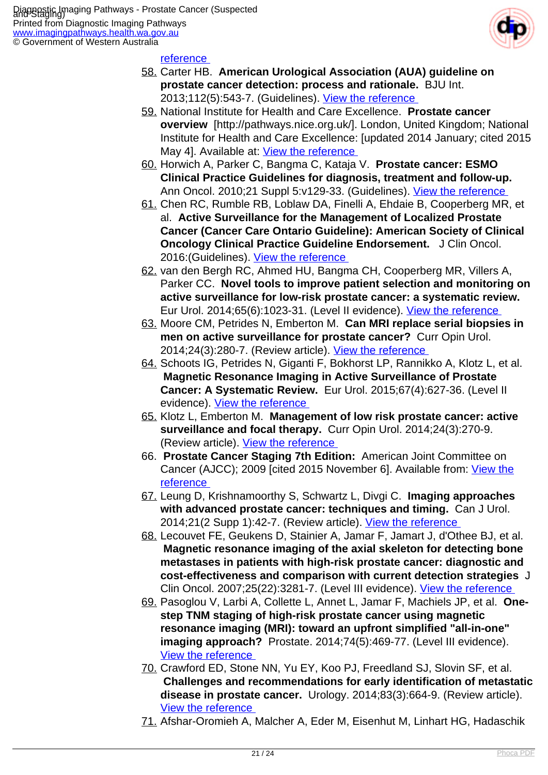

#### reference

- 58. Carter HB. **American Urological Association (AUA) guideline on prostate cancer detection: process and rationale.** BJU Int. 2013;112(5):543-7. (Guidelines). [View the reference](http://www.ncbi.nlm.nih.gov/pubmed/23924423 )
- 59. National Institute for Health and Care Excellence. **Prostate cancer overview** [http://pathways.nice.org.uk/]. London, United Kingdom; National Institute for Health and Care Excellence: [updated 2014 January; cited 2015 May 4]. Available at: [View the reference](http://pathways.nice.org.uk/pathways/prostate-cancer )
- 60. Horwich A, Parker C, Bangma C, Kataja V. **Prostate cancer: ESMO Clinical Practice Guidelines for diagnosis, treatment and follow-up.**  Ann Oncol. 2010;21 Suppl 5:v129-33. (Guidelines). View the reference
- 61. Chen RC, Rumble RB, Loblaw DA, Finelli A, Ehdaie B, Cooperberg MR, et al. **Active Surveillance for the Management of Localized Prostate Cancer (Cancer Care Ontario Guideline): American Society of Clinical Oncology Clinical Practice Guideline Endorsement.** J Clin Oncol. 2016:(Guidelines). [View the reference](http://www.ncbi.nlm.nih.gov/pubmed/26884580 )
- 62. van den Bergh RC, Ahmed HU, Bangma CH, Cooperberg MR, Villers A, Parker CC. **Novel tools to improve patient selection and monitoring on active surveillance for low-risk prostate cancer: a systematic review.**  Eur Urol. 2014;65(6):1023-31. (Level II evidence). View the reference
- 63. Moore CM, Petrides N, Emberton M. **Can MRI replace serial biopsies in men on active surveillance for prostate cancer?** Curr Opin Urol. 2014;24(3):280-7. (Review article). [View the reference](http://www.ncbi.nlm.nih.gov/pubmed/24614348 )
- 64. Schoots IG, Petrides N, Giganti F, Bokhorst LP, Rannikko A, Klotz L, et al.  **Magnetic Resonance Imaging in Active Surveillance of Prostate Cancer: A Systematic Review.** Eur Urol. 2015;67(4):627-36. (Level II evidence). [View the reference](http://www.ncbi.nlm.nih.gov/pubmed/25511988 )
- 65. Klotz L, Emberton M. **Management of low risk prostate cancer: active surveillance and focal therapy.** Curr Opin Urol. 2014;24(3):270-9. (Review article). View the reference
- 66. **Prostate Cancer Staging 7th Edition:** American Joint Committee on Cancer (AJCC); 2009 [cited 2015 November 6]. Available from: [View the](https://cancerstaging.org/references-tools/quickreferences/pages/default.aspx ) [reference](https://cancerstaging.org/references-tools/quickreferences/pages/default.aspx )
- 67. Leung D, Krishnamoorthy S, Schwartz L, Divgi C. **Imaging approaches with advanced prostate cancer: techniques and timing.** Can J Urol. 2014;21(2 Supp 1):42-7. (Review article). View the reference
- 68. Lecouvet FE, Geukens D, Stainier A, Jamar F, Jamart J, d'Othee BJ, et al.  **Magnetic resonance imaging of the axial skeleton for detecting bone metastases in patients with high-risk prostate cancer: diagnostic and cost-effectiveness and comparison with current detection strategies** J Clin Oncol. 2007;25(22):3281-7. (Level III evidence). [View the reference](http://www.ncbi.nlm.nih.gov/pubmed/17664475 )
- 69. Pasoglou V, Larbi A, Collette L, Annet L, Jamar F, Machiels JP, et al. **Onestep TNM staging of high-risk prostate cancer using magnetic resonance imaging (MRI): toward an upfront simplified "all-in-one" imaging approach?** Prostate. 2014;74(5):469-77. (Level III evidence). [View the reference](http://www.ncbi.nlm.nih.gov/pubmed/24375774 )
- 70. Crawford ED, Stone NN, Yu EY, Koo PJ, Freedland SJ, Slovin SF, et al.  **Challenges and recommendations for early identification of metastatic disease in prostate cancer.** Urology. 2014;83(3):664-9. (Review article). [View the reference](http://www.ncbi.nlm.nih.gov/pubmed/24411213 )
- 71. Afshar-Oromieh A, Malcher A, Eder M, Eisenhut M, Linhart HG, Hadaschik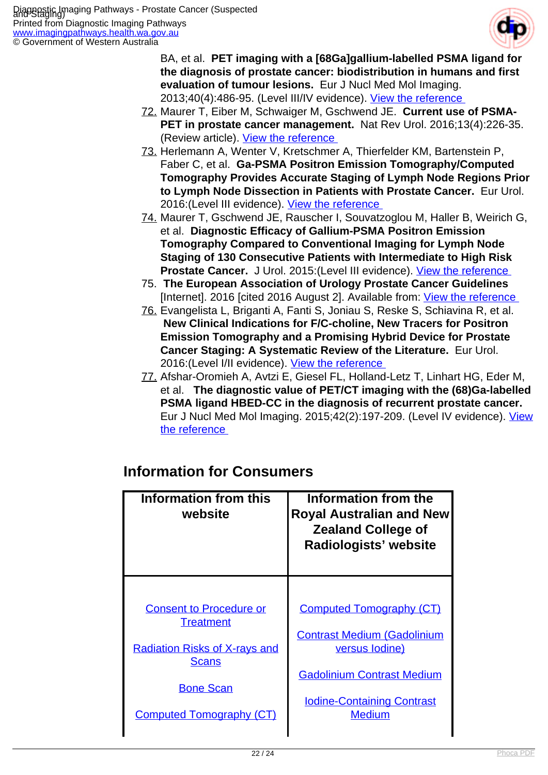

BA, et al. **PET imaging with a [68Ga]gallium-labelled PSMA ligand for the diagnosis of prostate cancer: biodistribution in humans and first evaluation of tumour lesions.** Eur J Nucl Med Mol Imaging. 2013;40(4):486-95. (Level III/IV evidence). [View the reference](http://www.ncbi.nlm.nih.gov/pubmed/23179945 ) 

- 72. Maurer T, Eiber M, Schwaiger M, Gschwend JE. **Current use of PSMA-PET in prostate cancer management.** Nat Rev Urol. 2016;13(4):226-35. (Review article). View the reference
- 73. Herlemann A, Wenter V, Kretschmer A, Thierfelder KM, Bartenstein P, Faber C, et al. **Ga-PSMA Positron Emission Tomography/Computed Tomography Provides Accurate Staging of Lymph Node Regions Prior to Lymph Node Dissection in Patients with Prostate Cancer.** Eur Urol. 2016:(Level III evidence). View the reference
- 74. Maurer T, Gschwend JE, Rauscher I, Souvatzoglou M, Haller B, Weirich G, et al. **Diagnostic Efficacy of Gallium-PSMA Positron Emission Tomography Compared to Conventional Imaging for Lymph Node Staging of 130 Consecutive Patients with Intermediate to High Risk** Prostate Cancer. J Urol. 2015:(Level III evidence). View the reference
- 75. **The European Association of Urology Prostate Cancer Guidelines**  [Internet]. 2016 [cited 2016 August 2]. Available from: [View the reference](http://uroweb.org/guideline/prostate-cancer/ )
- 76. Evangelista L, Briganti A, Fanti S, Joniau S, Reske S, Schiavina R, et al.  **New Clinical Indications for F/C-choline, New Tracers for Positron Emission Tomography and a Promising Hybrid Device for Prostate Cancer Staging: A Systematic Review of the Literature.** Eur Urol. 2016:(Level I/II evidence). [View the reference](http://www.ncbi.nlm.nih.gov/pubmed/26850970 )
- 77. Afshar-Oromieh A, Avtzi E, Giesel FL, Holland-Letz T, Linhart HG, Eder M, et al. **The diagnostic value of PET/CT imaging with the (68)Ga-labelled PSMA ligand HBED-CC in the diagnosis of recurrent prostate cancer.**  Eur J Nucl Med Mol Imaging. 2015;42(2):197-209. (Level IV evidence). [View](http://www.ncbi.nlm.nih.gov/pubmed/25411132 ) [the reference](http://www.ncbi.nlm.nih.gov/pubmed/25411132 )

| <b>Information from this</b><br>website | Information from the<br><b>Royal Australian and New</b><br><b>Zealand College of</b><br>Radiologists' website |
|-----------------------------------------|---------------------------------------------------------------------------------------------------------------|
| <b>Consent to Procedure or</b>          | <b>Computed Tomography (CT)</b>                                                                               |
| <b>Treatment</b>                        | <b>Contrast Medium (Gadolinium</b>                                                                            |
| <b>Radiation Risks of X-rays and</b>    | <u>versus lodine)</u>                                                                                         |
| Scans                                   | <b>Gadolinium Contrast Medium</b>                                                                             |
| <b>Bone Scan</b>                        | <b>Iodine-Containing Contrast</b>                                                                             |
| <b>Computed Tomography (CT)</b>         | <b>Medium</b>                                                                                                 |

#### **Information for Consumers**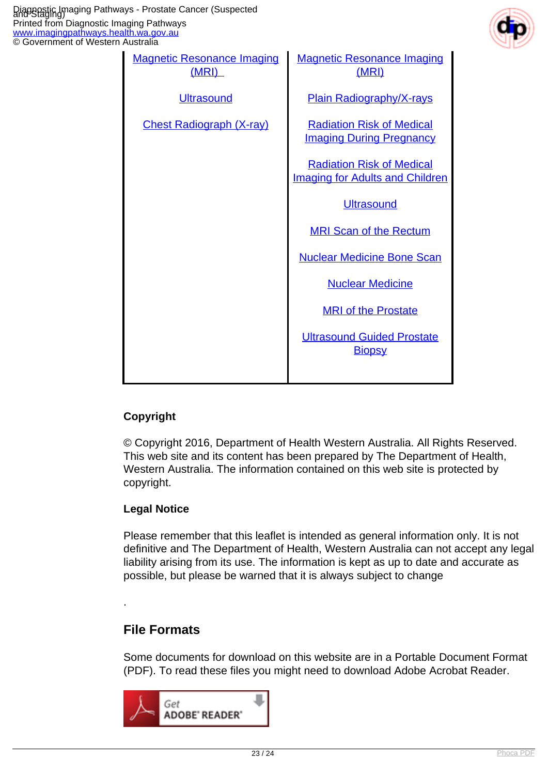

| Australia                                  |                                                                            |
|--------------------------------------------|----------------------------------------------------------------------------|
| <b>Magnetic Resonance Imaging</b><br>(MRI) | <b>Magnetic Resonance Imaging</b><br>(MRI)                                 |
| <b>Ultrasound</b>                          | <b>Plain Radiography/X-rays</b>                                            |
| <b>Chest Radiograph (X-ray)</b>            | <b>Radiation Risk of Medical</b><br><b>Imaging During Pregnancy</b>        |
|                                            | <b>Radiation Risk of Medical</b><br><b>Imaging for Adults and Children</b> |
|                                            | <b>Ultrasound</b>                                                          |
|                                            | <b>MRI Scan of the Rectum</b>                                              |
|                                            | <b>Nuclear Medicine Bone Scan</b>                                          |
|                                            | <b>Nuclear Medicine</b>                                                    |
|                                            | <b>MRI of the Prostate</b>                                                 |
|                                            | <b>Ultrasound Guided Prostate</b><br><b>Biopsy</b>                         |
|                                            |                                                                            |

#### **Copyright**

© Copyright 2016, Department of Health Western Australia. All Rights Reserved. This web site and its content has been prepared by The Department of Health, Western Australia. The information contained on this web site is protected by copyright.

#### **Legal Notice**

Please remember that this leaflet is intended as general information only. It is not definitive and The Department of Health, Western Australia can not accept any legal liability arising from its use. The information is kept as up to date and accurate as possible, but please be warned that it is always subject to change

#### **File Formats**

.

Some documents for download on this website are in a Portable Document Format (PDF). To read these files you might need to download Adobe Acrobat Reader.